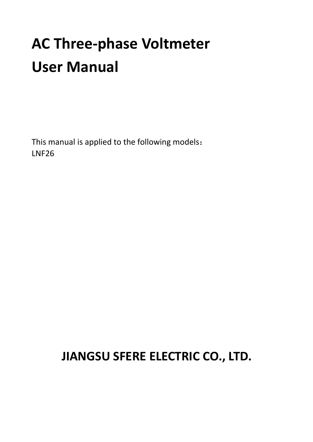# **AC Three-phase Voltmeter User Manual**

This manual is applied to the following models: LNF26

# **JIANGSU SFERE ELECTRIC CO., LTD.**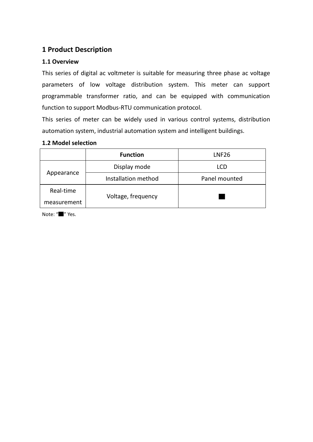# **1 Product Description**

#### **1.1 Overview**

This series of digital ac voltmeter is suitable for measuring three phase ac voltage parameters of low voltage distribution system. This meter can support programmable transformer ratio, and can be equipped with communication function to support Modbus-RTU communication protocol.

This series of meter can be widely used in various control systems, distribution automation system, industrial automation system and intelligent buildings.

#### **1.2 Model selection**

|             | <b>Function</b>     | LNF26         |  |  |
|-------------|---------------------|---------------|--|--|
| Appearance  | Display mode        | LCD.          |  |  |
|             | Installation method | Panel mounted |  |  |
| Real-time   |                     |               |  |  |
| measurement | Voltage, frequency  |               |  |  |

Note: "▇" Yes.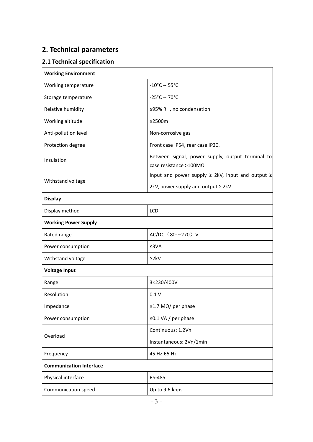# **2. Technical parameters**

# **2.1 Technical specification**

| <b>Working Environment</b>     |                                                                            |
|--------------------------------|----------------------------------------------------------------------------|
| Working temperature            | $-10^{\circ}$ C -- 55°C                                                    |
| Storage temperature            | $-25^{\circ}$ C -- 70 $^{\circ}$ C                                         |
| Relative humidity              | ≤95% RH, no condensation                                                   |
| Working altitude               | ≤2500m                                                                     |
| Anti-pollution level           | Non-corrosive gas                                                          |
| Protection degree              | Front case IP54, rear case IP20.                                           |
| Insulation                     | Between signal, power supply, output terminal to<br>case resistance >100MΩ |
|                                | Input and power supply $\geq$ 2kV, input and output $\geq$                 |
| Withstand voltage              | 2kV, power supply and output ≥ 2kV                                         |
| <b>Display</b>                 |                                                                            |
| Display method                 | <b>LCD</b>                                                                 |
| <b>Working Power Supply</b>    |                                                                            |
| Rated range                    | AC/DC $(80^{\sim}270)$ V                                                   |
| Power consumption<br>≤3VA      |                                                                            |
| Withstand voltage              | 22kV                                                                       |
| Voltage Input                  |                                                                            |
| Range                          | 3×230/400V                                                                 |
| Resolution                     | 0.1V                                                                       |
| Impedance                      | $\geq$ 1.7 M $\Omega$ / per phase                                          |
| Power consumption              | $\leq$ 0.1 VA / per phase                                                  |
| Overload                       | Continuous: 1.2Vn                                                          |
|                                | Instantaneous: 2Vn/1min                                                    |
| Frequency                      | 45 Hz-65 Hz                                                                |
| <b>Communication Interface</b> |                                                                            |
| Physical interface             | RS-485                                                                     |
| Communication speed            | Up to 9.6 kbps                                                             |
|                                |                                                                            |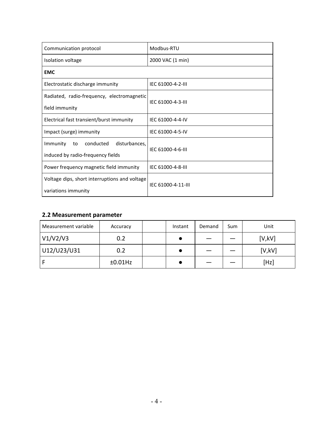| Communication protocol                        | Modbus-RTU         |  |  |
|-----------------------------------------------|--------------------|--|--|
| Isolation voltage                             | 2000 VAC (1 min)   |  |  |
| <b>EMC</b>                                    |                    |  |  |
| Electrostatic discharge immunity              | IEC 61000-4-2-III  |  |  |
| Radiated, radio-frequency, electromagnetic    | IEC 61000-4-3-III  |  |  |
| field immunity                                |                    |  |  |
| Electrical fast transient/burst immunity      | IEC 61000-4-4-IV   |  |  |
| Impact (surge) immunity                       | IEC 61000-4-5-IV   |  |  |
| disturbances,<br>Immunity<br>conducted<br>to  | IEC 61000-4-6-III  |  |  |
| induced by radio-frequency fields             |                    |  |  |
| Power frequency magnetic field immunity       | IEC 61000-4-8-III  |  |  |
| Voltage dips, short interruptions and voltage | IEC 61000-4-11-III |  |  |
| variations immunity                           |                    |  |  |

#### **2.2 Measurement parameter**

| Measurement variable | Accuracy   | Instant | Demand | Sum | Unit   |
|----------------------|------------|---------|--------|-----|--------|
| V1/V2/V3             | 0.2        |         |        |     | [V,KV] |
| U12/U23/U31          | 0.2        |         |        |     | [V,KV] |
|                      | $±0.01$ Hz |         |        |     | [Hz]   |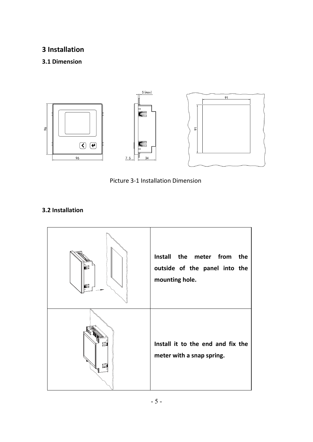# **3 Installation**

# **3.1 Dimension**





#### **3.2 Installation**